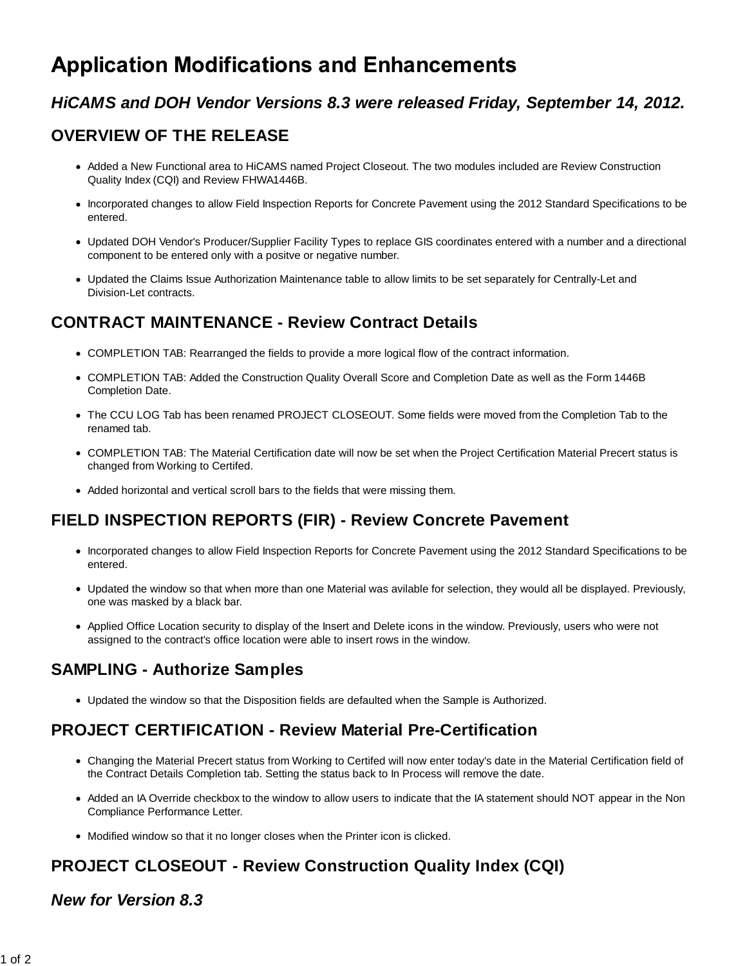# **Application Modifications and Enhancements**

## *HiCAMS and DOH Vendor Versions 8.3 were released Friday, September 14, 2012.*

# **OVERVIEW OF THE RELEASE**

- Added a New Functional area to HiCAMS named Project Closeout. The two modules included are Review Construction Quality Index (CQI) and Review FHWA1446B.
- Incorporated changes to allow Field Inspection Reports for Concrete Pavement using the 2012 Standard Specifications to be entered.
- Updated DOH Vendor's Producer/Supplier Facility Types to replace GIS coordinates entered with a number and a directional component to be entered only with a positve or negative number.
- Updated the Claims Issue Authorization Maintenance table to allow limits to be set separately for Centrally-Let and Division-Let contracts.

## **CONTRACT MAINTENANCE - Review Contract Details**

- COMPLETION TAB: Rearranged the fields to provide a more logical flow of the contract information.
- COMPLETION TAB: Added the Construction Quality Overall Score and Completion Date as well as the Form 1446B Completion Date.
- The CCU LOG Tab has been renamed PROJECT CLOSEOUT. Some fields were moved from the Completion Tab to the renamed tab.
- COMPLETION TAB: The Material Certification date will now be set when the Project Certification Material Precert status is changed from Working to Certifed.
- Added horizontal and vertical scroll bars to the fields that were missing them.

### **FIELD INSPECTION REPORTS (FIR) - Review Concrete Pavement**

- Incorporated changes to allow Field Inspection Reports for Concrete Pavement using the 2012 Standard Specifications to be entered.
- Updated the window so that when more than one Material was avilable for selection, they would all be displayed. Previously, one was masked by a black bar.
- Applied Office Location security to display of the Insert and Delete icons in the window. Previously, users who were not assigned to the contract's office location were able to insert rows in the window.

# **SAMPLING - Authorize Samples**

Updated the window so that the Disposition fields are defaulted when the Sample is Authorized.

## **PROJECT CERTIFICATION - Review Material Pre-Certification**

- Changing the Material Precert status from Working to Certifed will now enter today's date in the Material Certification field of the Contract Details Completion tab. Setting the status back to In Process will remove the date.
- Added an IA Override checkbox to the window to allow users to indicate that the IA statement should NOT appear in the Non Compliance Performance Letter.
- Modified window so that it no longer closes when the Printer icon is clicked.

# **PROJECT CLOSEOUT - Review Construction Quality Index (CQI)**

#### *New for Version 8.3*